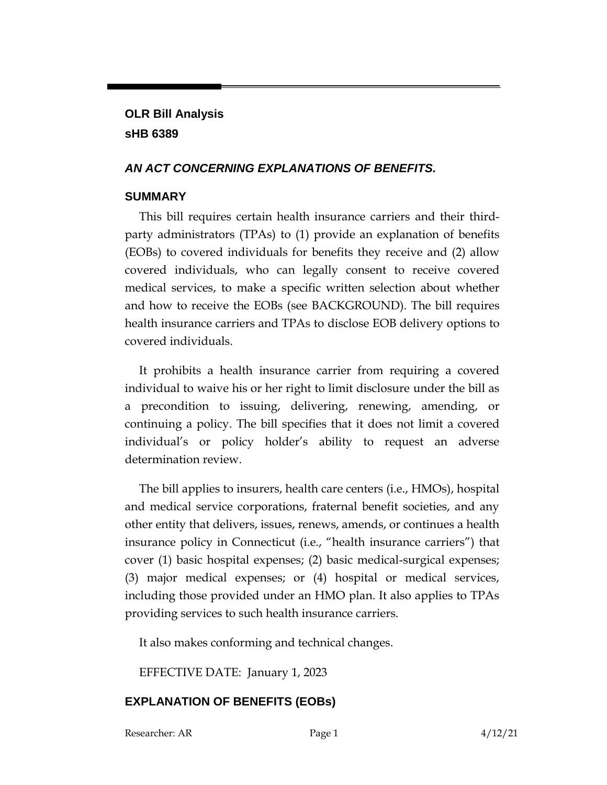# **OLR Bill Analysis sHB 6389**

### *AN ACT CONCERNING EXPLANATIONS OF BENEFITS.*

## **SUMMARY**

This bill requires certain health insurance carriers and their thirdparty administrators (TPAs) to (1) provide an explanation of benefits (EOBs) to covered individuals for benefits they receive and (2) allow covered individuals, who can legally consent to receive covered medical services, to make a specific written selection about whether and how to receive the EOBs (see BACKGROUND). The bill requires health insurance carriers and TPAs to disclose EOB delivery options to covered individuals.

It prohibits a health insurance carrier from requiring a covered individual to waive his or her right to limit disclosure under the bill as a precondition to issuing, delivering, renewing, amending, or continuing a policy. The bill specifies that it does not limit a covered individual's or policy holder's ability to request an adverse determination review.

The bill applies to insurers, health care centers (i.e., HMOs), hospital and medical service corporations, fraternal benefit societies, and any other entity that delivers, issues, renews, amends, or continues a health insurance policy in Connecticut (i.e., "health insurance carriers") that cover (1) basic hospital expenses; (2) basic medical-surgical expenses; (3) major medical expenses; or (4) hospital or medical services, including those provided under an HMO plan. It also applies to TPAs providing services to such health insurance carriers.

It also makes conforming and technical changes.

EFFECTIVE DATE: January 1, 2023

# **EXPLANATION OF BENEFITS (EOBs)**

Researcher: AR Page 1 4/12/21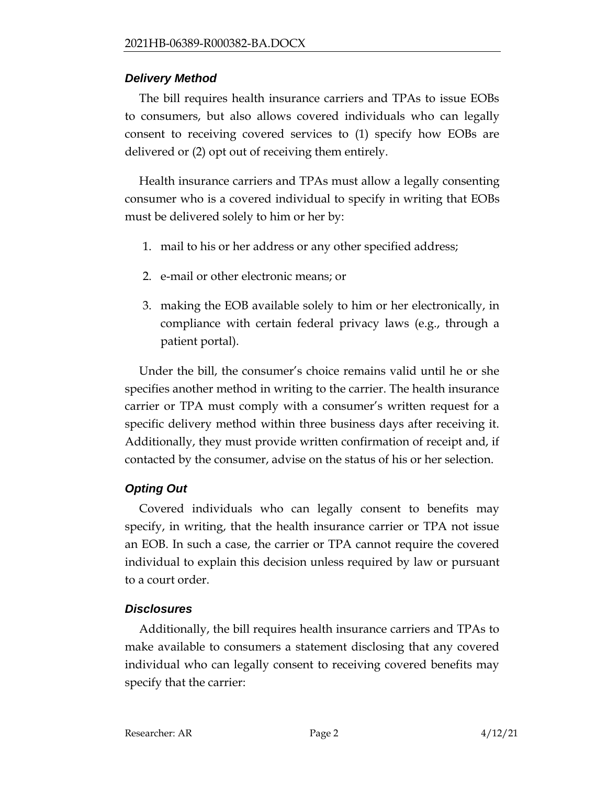## *Delivery Method*

The bill requires health insurance carriers and TPAs to issue EOBs to consumers, but also allows covered individuals who can legally consent to receiving covered services to (1) specify how EOBs are delivered or (2) opt out of receiving them entirely.

Health insurance carriers and TPAs must allow a legally consenting consumer who is a covered individual to specify in writing that EOBs must be delivered solely to him or her by:

- 1. mail to his or her address or any other specified address;
- 2. e-mail or other electronic means; or
- 3. making the EOB available solely to him or her electronically, in compliance with certain federal privacy laws (e.g., through a patient portal).

Under the bill, the consumer's choice remains valid until he or she specifies another method in writing to the carrier. The health insurance carrier or TPA must comply with a consumer's written request for a specific delivery method within three business days after receiving it. Additionally, they must provide written confirmation of receipt and, if contacted by the consumer, advise on the status of his or her selection.

# *Opting Out*

Covered individuals who can legally consent to benefits may specify, in writing, that the health insurance carrier or TPA not issue an EOB. In such a case, the carrier or TPA cannot require the covered individual to explain this decision unless required by law or pursuant to a court order.

## *Disclosures*

Additionally, the bill requires health insurance carriers and TPAs to make available to consumers a statement disclosing that any covered individual who can legally consent to receiving covered benefits may specify that the carrier: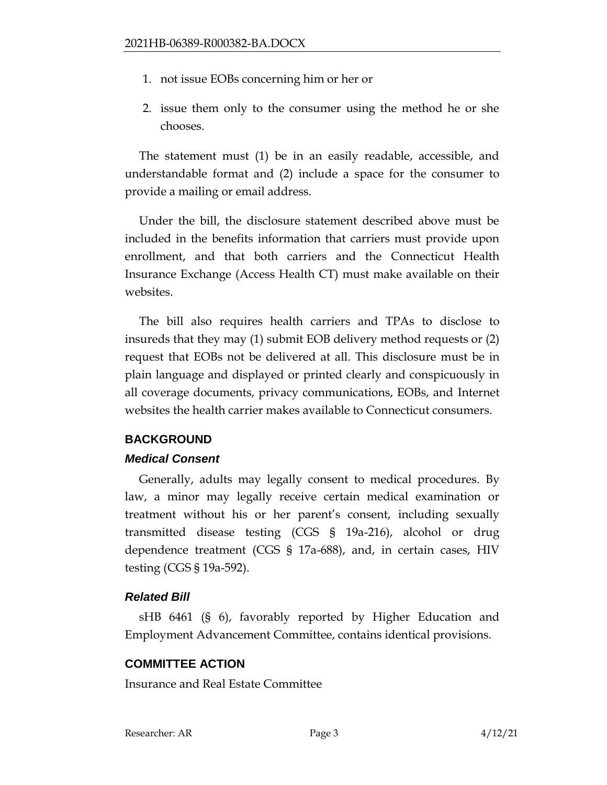- 1. not issue EOBs concerning him or her or
- 2. issue them only to the consumer using the method he or she chooses.

The statement must (1) be in an easily readable, accessible, and understandable format and (2) include a space for the consumer to provide a mailing or email address.

Under the bill, the disclosure statement described above must be included in the benefits information that carriers must provide upon enrollment, and that both carriers and the Connecticut Health Insurance Exchange (Access Health CT) must make available on their websites.

The bill also requires health carriers and TPAs to disclose to insureds that they may (1) submit EOB delivery method requests or (2) request that EOBs not be delivered at all. This disclosure must be in plain language and displayed or printed clearly and conspicuously in all coverage documents, privacy communications, EOBs, and Internet websites the health carrier makes available to Connecticut consumers.

### **BACKGROUND**

### *Medical Consent*

Generally, adults may legally consent to medical procedures. By law, a minor may legally receive certain medical examination or treatment without his or her parent's consent, including sexually transmitted disease testing (CGS § 19a-216), alcohol or drug dependence treatment (CGS § 17a-688), and, in certain cases, HIV testing (CGS § 19a-592).

### *Related Bill*

sHB 6461 (§ 6), favorably reported by Higher Education and Employment Advancement Committee, contains identical provisions.

### **COMMITTEE ACTION**

Insurance and Real Estate Committee